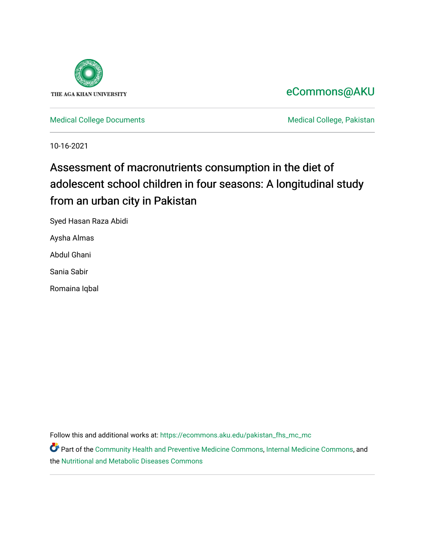

# [eCommons@AKU](https://ecommons.aku.edu/)

[Medical College Documents](https://ecommons.aku.edu/pakistan_fhs_mc_mc) **Medical College, Pakistan** 

10-16-2021

# Assessment of macronutrients consumption in the diet of adolescent school children in four seasons: A longitudinal study from an urban city in Pakistan

Syed Hasan Raza Abidi

Aysha Almas

Abdul Ghani

Sania Sabir

Romaina Iqbal

Follow this and additional works at: [https://ecommons.aku.edu/pakistan\\_fhs\\_mc\\_mc](https://ecommons.aku.edu/pakistan_fhs_mc_mc?utm_source=ecommons.aku.edu%2Fpakistan_fhs_mc_mc%2F231&utm_medium=PDF&utm_campaign=PDFCoverPages) 

Part of the [Community Health and Preventive Medicine Commons](http://network.bepress.com/hgg/discipline/744?utm_source=ecommons.aku.edu%2Fpakistan_fhs_mc_mc%2F231&utm_medium=PDF&utm_campaign=PDFCoverPages), [Internal Medicine Commons](http://network.bepress.com/hgg/discipline/1356?utm_source=ecommons.aku.edu%2Fpakistan_fhs_mc_mc%2F231&utm_medium=PDF&utm_campaign=PDFCoverPages), and the [Nutritional and Metabolic Diseases Commons](http://network.bepress.com/hgg/discipline/1003?utm_source=ecommons.aku.edu%2Fpakistan_fhs_mc_mc%2F231&utm_medium=PDF&utm_campaign=PDFCoverPages)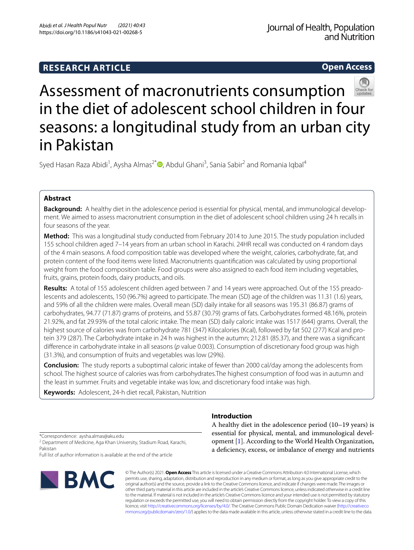# **RESEARCH ARTICLE**

**Open Access**



# Assessment of macronutrients consumption in the diet of adolescent school children in four seasons: a longitudinal study from an urban city in Pakistan

Syed Hasan Raza Abidi<sup>1</sup>[,](http://orcid.org/0000-0001-7146-7183) Aysha Almas<sup>2\*</sup> <sup>(D</sup>, Abdul Ghani<sup>3</sup>, Sania Sabir<sup>2</sup> and Romania Iqbal<sup>4</sup>

# **Abstract**

**Background:** A healthy diet in the adolescence period is essential for physical, mental, and immunological development. We aimed to assess macronutrient consumption in the diet of adolescent school children using 24 h recalls in four seasons of the year.

**Method:** This was a longitudinal study conducted from February 2014 to June 2015. The study population included 155 school children aged 7–14 years from an urban school in Karachi. 24HR recall was conducted on 4 random days of the 4 main seasons. A food composition table was developed where the weight, calories, carbohydrate, fat, and protein content of the food items were listed. Macronutrients quantifcation was calculated by using proportional weight from the food composition table. Food groups were also assigned to each food item including vegetables, fruits, grains, protein foods, dairy products, and oils.

**Results:** A total of 155 adolescent children aged between 7 and 14 years were approached. Out of the 155 preadolescents and adolescents, 150 (96.7%) agreed to participate. The mean (SD) age of the children was 11.31 (1.6) years, and 59% of all the children were males. Overall mean (SD) daily intake for all seasons was 195.31 (86.87) grams of carbohydrates, 94.77 (71.87) grams of proteins, and 55.87 (30.79) grams of fats. Carbohydrates formed 48.16%, protein 21.92%, and fat 29.93% of the total caloric intake. The mean (SD) daily caloric intake was 1517 (644) grams. Overall, the highest source of calories was from carbohydrate 781 (347) Kilocalories (Kcal), followed by fat 502 (277) Kcal and protein 379 (287). The Carbohydrate intake in 24 h was highest in the autumn; 212.81 (85.37), and there was a signifcant diference in carbohydrate intake in all seasons (*p* value 0.003). Consumption of discretionary food group was high (31.3%), and consumption of fruits and vegetables was low (29%).

**Conclusion:** The study reports a suboptimal caloric intake of fewer than 2000 cal/day among the adolescents from school. The highest source of calories was from carbohydrates.The highest consumption of food was in autumn and the least in summer. Fruits and vegetable intake was low, and discretionary food intake was high.

**Keywords:** Adolescent, 24-h diet recall, Pakistan, Nutrition

\*Correspondence: aysha.almas@aku.edu

<sup>2</sup> Department of Medicine, Aga Khan University, Stadium Road, Karachi, Pakistan

Full list of author information is available at the end of the article



**Introduction**

A healthy diet in the adolescence period (10–19 years) is essential for physical, mental, and immunological development [[1\]](#page-7-0). According to the World Health Organization, a defciency, excess, or imbalance of energy and nutrients

© The Author(s) 2021. **Open Access** This article is licensed under a Creative Commons Attribution 4.0 International License, which permits use, sharing, adaptation, distribution and reproduction in any medium or format, as long as you give appropriate credit to the original author(s) and the source, provide a link to the Creative Commons licence, and indicate if changes were made. The images or other third party material in this article are included in the article's Creative Commons licence, unless indicated otherwise in a credit line to the material. If material is not included in the article's Creative Commons licence and your intended use is not permitted by statutory regulation or exceeds the permitted use, you will need to obtain permission directly from the copyright holder. To view a copy of this licence, visit [http://creativecommons.org/licenses/by/4.0/.](http://creativecommons.org/licenses/by/4.0/) The Creative Commons Public Domain Dedication waiver ([http://creativeco](http://creativecommons.org/publicdomain/zero/1.0/) [mmons.org/publicdomain/zero/1.0/](http://creativecommons.org/publicdomain/zero/1.0/)) applies to the data made available in this article, unless otherwise stated in a credit line to the data.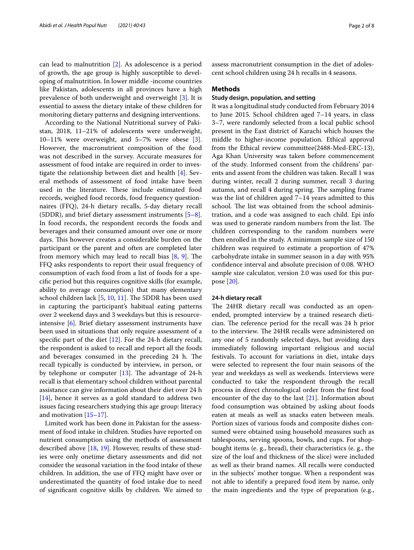can lead to malnutrition [\[2](#page-7-1)]. As adolescence is a period of growth, the age group is highly susceptible to developing of malnutrition. In lower middle -income countries like Pakistan, adolescents in all provinces have a high prevalence of both underweight and overweight [\[3](#page-7-2)]. It is essential to assess the dietary intake of these children for monitoring dietary patterns and designing interventions.

According to the National Nutritional survey of Pakistan, 2018, 11–21% of adolescents were underweight, 10–11% were overweight, and 5–7% were obese [\[3](#page-7-2)]. However, the macronutrient composition of the food was not described in the survey. Accurate measures for assessment of food intake are required in order to investigate the relationship between diet and health [[4\]](#page-7-3). Several methods of assessment of food intake have been used in the literature. These include estimated food records, weighed food records, food frequency questionnaires (FFQ), 24-h dietary recalls, 5-day dietary recall (5DDR), and brief dietary assessment instruments [\[5](#page-7-4)[–8](#page-7-5)]. In food records, the respondent records the foods and beverages and their consumed amount over one or more days. This however creates a considerable burden on the participant or the parent and often are completed later from memory which may lead to recall bias  $[8, 9]$  $[8, 9]$  $[8, 9]$ . The FFQ asks respondents to report their usual frequency of consumption of each food from a list of foods for a specifc period but this requires cognitive skills (for example, ability to average consumption) that many elementary school children lack  $[5, 10, 11]$  $[5, 10, 11]$  $[5, 10, 11]$  $[5, 10, 11]$  $[5, 10, 11]$ . The 5DDR has been used in capturing the participant's habitual eating patterns over 2 weekend days and 3 weekdays but this is resourceintensive [[6\]](#page-7-9). Brief dietary assessment instruments have been used in situations that only require assessment of a specifc part of the diet [\[12](#page-7-10)]. For the 24-h dietary recall, the respondent is asked to recall and report all the foods and beverages consumed in the preceding 24 h. The recall typically is conducted by interview, in person, or by telephone or computer  $[13]$ . The advantage of 24-h recall is that elementary school children without parental assistance can give information about their diet over 24 h [[14\]](#page-7-12), hence it serves as a gold standard to address two issues facing researchers studying this age group: literacy and motivation [\[15](#page-7-13)[–17](#page-7-14)].

Limited work has been done in Pakistan for the assessment of food intake in children. Studies have reported on nutrient consumption using the methods of assessment described above  $[18, 19]$  $[18, 19]$  $[18, 19]$  $[18, 19]$ . However, results of these studies were only onetime dietary assessments and did not consider the seasonal variation in the food intake of these children. In addition, the use of FFQ might have over or underestimated the quantity of food intake due to need of signifcant cognitive skills by children. We aimed to assess macronutrient consumption in the diet of adolescent school children using 24 h recalls in 4 seasons.

#### **Methods**

## **Study design, population, and setting**

It was a longitudinal study conducted from February 2014 to June 2015. School children aged 7–14 years, in class 3–7, were randomly selected from a local public school present in the East district of Karachi which houses the middle to higher-income population. Ethical approval from the Ethical review committee(2488-Med-ERC-13), Aga Khan University was taken before commencement of the study. Informed consent from the childrens' parents and assent from the children was taken. Recall 1 was during winter, recall 2 during summer, recall 3 during autumn, and recall 4 during spring. The sampling frame was the list of children aged 7–14 years admitted to this school. The list was obtained from the school administration, and a code was assigned to each child. Epi info was used to generate random numbers from the list. The children corresponding to the random numbers were then enrolled in the study. A minimum sample size of 150 children was required to estimate a proportion of 47% carbohydrate intake in summer season in a day with 95% confdence interval and absolute precision of 0.08. WHO sample size calculator, version 2.0 was used for this purpose [\[20\]](#page-7-17).

#### **24‑h dietary recall**

The 24HR dietary recall was conducted as an openended, prompted interview by a trained research dietician. The reference period for the recall was 24 h prior to the interview. The 24HR recalls were administered on any one of 5 randomly selected days, but avoiding days immediately following important religious and social festivals. To account for variations in diet, intake days were selected to represent the four main seasons of the year and weekdays as well as weekends. Interviews were conducted to take the respondent through the recall process in direct chronological order from the frst food encounter of the day to the last [[21](#page-7-18)]. Information about food consumption was obtained by asking about foods eaten at meals as well as snacks eaten between meals. Portion sizes of various foods and composite dishes consumed were obtained using household measures such as tablespoons, serving spoons, bowls, and cups. For shopbought items (e. g., bread), their characteristics (e. g., the size of the loaf and thickness of the slice) were included as well as their brand names. All recalls were conducted in the subjects' mother tongue. When a respondent was not able to identify a prepared food item by name, only the main ingredients and the type of preparation (e.g.,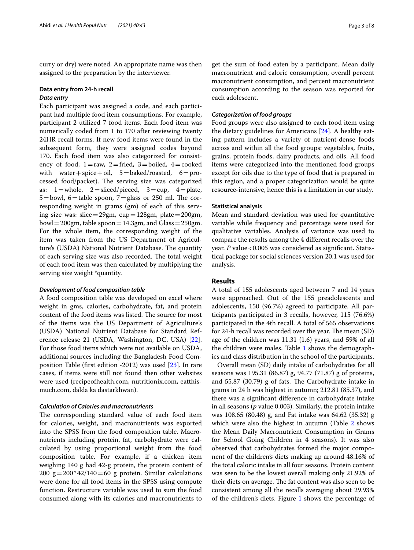curry or dry) were noted. An appropriate name was then assigned to the preparation by the interviewer.

# **Data entry from 24‑h recall** *Data entry*

Each participant was assigned a code, and each participant had multiple food item consumptions. For example, participant 2 utilized 7 food items. Each food item was numerically coded from 1 to 170 after reviewing twenty 24HR recall forms. If new food items were found in the subsequent form, they were assigned codes beyond 170. Each food item was also categorized for consistency of food;  $1=raw$ ,  $2=$ fried,  $3=$ boiled,  $4=$ cooked with water + spice + oil,  $5 =$  baked/roasted,  $6 =$  processed food/packet). The serving size was categorized as:  $1 =$ whole,  $2 =$ sliced/pieced,  $3 =$ cup,  $4 =$ plate,  $5 =$ bowl,  $6 =$ table spoon,  $7 =$ glass or 250 ml. The corresponding weight in grams (gm) of each of this serving size was: slice=29gm, cup=128gm, plate=200gm, bowl = 200gm, table spoon = 14.3gm, and Glass =  $250gm$ . For the whole item, the corresponding weight of the item was taken from the US Department of Agriculture's (USDA) National Nutrient Database. The quantity of each serving size was also recorded. The total weight of each food item was then calculated by multiplying the serving size weight \*quantity.

#### *Development of food composition table*

A food composition table was developed on excel where weight in gms, calories, carbohydrate, fat, and protein content of the food items was listed. The source for most of the items was the US Department of Agriculture's (USDA) National Nutrient Database for Standard Reference release 21 (USDA, Washington, DC, USA) [\[22](#page-7-19)]. For those food items which were not available on USDA, additional sources including the Bangladesh Food Composition Table (frst edition -2012) was used [[23](#page-7-20)]. In rare cases, if items were still not found then other websites were used (recipeofhealth.com, nutritionix.com, eatthismuch.com, dalda ka dastarkhwan).

#### *Calculation of Calories and macronutrients*

The corresponding standard value of each food item for calories, weight, and macronutrients was exported into the SPSS from the food composition table. Macronutrients including protein, fat, carbohydrate were calculated by using proportional weight from the food composition table. For example, if a chicken item weighing 140 g had 42-g protein, the protein content of 200  $g=200*42/140=60$  g protein. Similar calculations were done for all food items in the SPSS using compute function. Restructure variable was used to sum the food consumed along with its calories and macronutrients to get the sum of food eaten by a participant. Mean daily macronutrient and caloric consumption, overall percent macronutrient consumption, and percent macronutrient consumption according to the season was reported for each adolescent.

## *Categorization of food groups*

Food groups were also assigned to each food item using the dietary guidelines for Americans [\[24\]](#page-7-21). A healthy eating pattern includes a variety of nutrient-dense foods across and within all the food groups: vegetables, fruits, grains, protein foods, dairy products, and oils. All food items were categorized into the mentioned food groups except for oils due to the type of food that is prepared in this region, and a proper categorization would be quite resource-intensive, hence this is a limitation in our study.

#### **Statistical analysis**

Mean and standard deviation was used for quantitative variable while frequency and percentage were used for qualitative variables. Analysis of variance was used to compare the results among the 4 diferent recalls over the year. *P* value < 0.005 was considered as significant. Statistical package for social sciences version 20.1 was used for analysis.

## **Results**

A total of 155 adolescents aged between 7 and 14 years were approached. Out of the 155 preadolescents and adolescents, 150 (96.7%) agreed to participate. All participants participated in 3 recalls, however, 115 (76.6%) participated in the 4th recall. A total of 565 observations for 24-h recall was recorded over the year. The mean (SD) age of the children was 11.31 (1.6) years, and 59% of all the children were males. Table [1](#page-4-0) shows the demographics and class distribution in the school of the participants.

Overall mean (SD) daily intake of carbohydrates for all seasons was 195.31 (86.87) g, 94.77 (71.87) g of proteins, and  $55.87$  (30.79) g of fats. The Carbohydrate intake in grams in 24 h was highest in autumn; 212.81 (85.37), and there was a signifcant diference in carbohydrate intake in all seasons (*p* value 0.003). Similarly, the protein intake was 108.65 (80.48) g, and Fat intake was 64.62 (35.32) g which were also the highest in autumn (Table [2](#page-4-1) shows the Mean Daily Macronutrient Consumption in Grams for School Going Children in 4 seasons). It was also observed that carbohydrates formed the major component of the children's diets making up around 48.16% of the total caloric intake in all four seasons. Protein content was seen to be the lowest overall making only 21.92% of their diets on average. The fat content was also seen to be consistent among all the recalls averaging about 29.93% of the children's diets. Figure [1](#page-4-2) shows the percentage of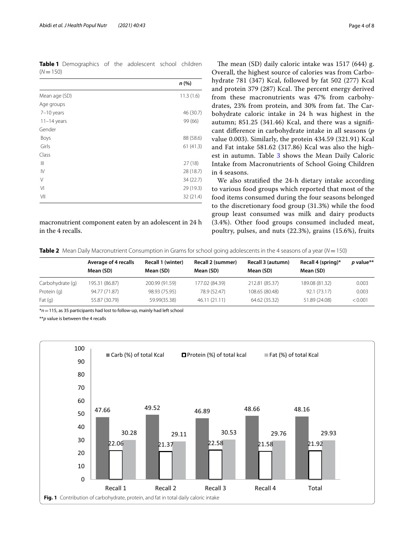<span id="page-4-0"></span>**Table 1** Demographics of the adolescent school children  $(N = 150)$ 

|                | n(%)      |
|----------------|-----------|
| Mean age (SD)  | 11.3(1.6) |
| Age groups     |           |
| 7-10 years     | 46 (30.7) |
| $11-14$ years  | 99 (66)   |
| Gender         |           |
| Boys           | 88 (58.6) |
| Girls          | 61(41.3)  |
| Class          |           |
| Ш              | 27(18)    |
| IV             | 28 (18.7) |
| V              | 34 (22.7) |
| V <sub>1</sub> | 29 (19.3) |
| VII            | 32 (21.4) |

macronutrient component eaten by an adolescent in 24 h in the 4 recalls.

The mean (SD) daily caloric intake was  $1517$  (644) g. Overall, the highest source of calories was from Carbohydrate 781 (347) Kcal, followed by fat 502 (277) Kcal and protein 379 (287) Kcal. The percent energy derived from these macronutrients was 47% from carbohydrates, 23% from protein, and 30% from fat. The Carbohydrate caloric intake in 24 h was highest in the autumn; 851.25 (341.46) Kcal, and there was a signifcant diference in carbohydrate intake in all seasons (*p* value 0.003). Similarly, the protein 434.59 (321.91) Kcal and Fat intake 581.62 (317.86) Kcal was also the high-est in autumn. Table [3](#page-5-0) shows the Mean Daily Caloric Intake from Macronutrients of School Going Children in 4 seasons.

We also stratifed the 24-h dietary intake according to various food groups which reported that most of the food items consumed during the four seasons belonged to the discretionary food group (31.3%) while the food group least consumed was milk and dairy products (3.4%). Other food groups consumed included meat, poultry, pulses, and nuts (22.3%), grains (15.6%), fruits

<span id="page-4-1"></span>**Table 2** Mean Daily Macronutrient Consumption in Grams for school going adolescents in the 4 seasons of a year (*N*=150)

|                  | Average of 4 recalls<br>Mean (SD) | Recall 1 (winter)<br>Mean (SD) | Recall 2 (summer)<br>Mean (SD) | Recall 3 (autumn)<br>Mean (SD) | Recall 4 (spring)*<br>Mean (SD) | p value** |
|------------------|-----------------------------------|--------------------------------|--------------------------------|--------------------------------|---------------------------------|-----------|
| Carbohydrate (q) | 195.31 (86.87)                    | 200.99 (91.59)                 | 177.02 (84.39)                 | 212.81 (85.37)                 | 189.08 (81.32)                  | 0.003     |
| Protein (q)      | 94.77 (71.87)                     | 98.93 (75.95)                  | 78.9 (52.47)                   | 108.65 (80.48)                 | 92.1 (73.17)                    | 0.003     |
| Fat $(q)$        | 55.87 (30.79)                     | 59.99(35.38)                   | 46.11 (21.11)                  | 64.62 (35.32)                  | 51.89 (24.08)                   | < 0.001   |

\**n*=115, as 35 participants had lost to follow-up, mainly had left school

\*\**p* value is between the 4 recalls

<span id="page-4-2"></span>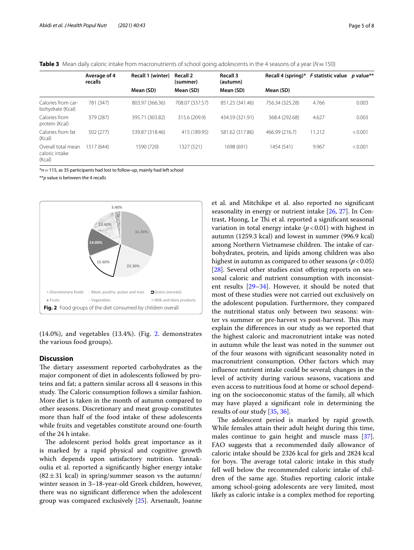<span id="page-5-0"></span>

| Table 3 Mean daily caloric intake from macronutrients of school going adolescents in the 4 seasons of a year (N=150) |  |
|----------------------------------------------------------------------------------------------------------------------|--|
|----------------------------------------------------------------------------------------------------------------------|--|

|                                                | Average of 4<br>recalls | Recall 1 (winter) | <b>Recall 2</b><br>(summer) | <b>Recall 3</b><br>(autumn) | Recall 4 (spring)* | <i>F</i> statistic value | <i>p</i> value** |
|------------------------------------------------|-------------------------|-------------------|-----------------------------|-----------------------------|--------------------|--------------------------|------------------|
|                                                |                         | Mean (SD)         | Mean (SD)                   | Mean (SD)                   | Mean (SD)          |                          |                  |
| Calories from car-<br>bohydrate (Kcal)         | 781 (347)               | 803.97 (366.36)   | 708.07 (337.57)             | 851.25 (341.46)             | 756.34 (325.28)    | 4.766                    | 0.003            |
| Calories from<br>protein (Kcal)                | 379 (287)               | 395.71 (303.82)   | 315.6 (209.9)               | 434.59 (321.91)             | 368.4 (292.68)     | 4.627                    | 0.003            |
| Calories from fat<br>(Kcal)                    | 502 (277)               | 539.87 (318.46)   | 415 (189.95)                | 581.62 (317.86)             | 466.99 (216.7)     | 11.212                   | < 0.001          |
| Overall total mean<br>caloric intake<br>(Kcal) | 1517 (644)              | 1590 (720)        | 1327 (521)                  | 1698 (691)                  | 1454 (541)         | 9.967                    | < 0.001          |

\**n*=115, as 35 participants had lost to follow-up, mainly had left school

\*\**p* value is between the 4 recalls



<span id="page-5-1"></span>(14.0%), and vegetables (13.4%). (Fig. [2](#page-5-1). demonstrates the various food groups).

### **Discussion**

The dietary assessment reported carbohydrates as the major component of diet in adolescents followed by proteins and fat; a pattern similar across all 4 seasons in this study. The Caloric consumption follows a similar fashion. More diet is taken in the month of autumn compared to other seasons. Discretionary and meat group constitutes more than half of the food intake of these adolescents while fruits and vegetables constitute around one-fourth of the 24 h intake.

The adolescent period holds great importance as it is marked by a rapid physical and cognitive growth which depends upon satisfactory nutrition. Yannakoulia et al. reported a signifcantly higher energy intake  $(82 \pm 31 \text{ kcal})$  in spring/summer season vs the autumn/ winter season in 3–18-year-old Greek children, however, there was no signifcant diference when the adolescent group was compared exclusively [[25\]](#page-7-22). Arsenault, Joanne

et al. and Mitchikpe et al. also reported no signifcant seasonality in energy or nutrient intake [[26,](#page-7-23) [27\]](#page-7-24). In Contrast, Huong, Le Thi et al. reported a significant seasonal variation in total energy intake  $(p < 0.01)$  with highest in autumn (1259.3 kcal) and lowest in summer (996.9 kcal) among Northern Vietnamese children. The intake of carbohydrates, protein, and lipids among children was also highest in autumn as compared to other seasons ( $p < 0.05$ ) [[28\]](#page-7-25). Several other studies exist offering reports on seasonal caloric and nutrient consumption with inconsistent results [[29](#page-7-26)[–34](#page-7-27)]. However, it should be noted that most of these studies were not carried out exclusively on the adolescent population. Furthermore, they compared the nutritional status only between two seasons: winter vs summer or pre-harvest vs post-harvest. This may explain the diferences in our study as we reported that the highest caloric and macronutrient intake was noted in autumn while the least was noted in the summer out of the four seasons with signifcant seasonality noted in macronutrient consumption. Other factors which may infuence nutrient intake could be several; changes in the level of activity during various seasons, vacations and even access to nutritious food at home or school depending on the socioeconomic status of the family, all which may have played a signifcant role in determining the results of our study [[35](#page-7-28), [36\]](#page-8-0).

The adolescent period is marked by rapid growth. While females attain their adult height during this time, males continue to gain height and muscle mass [\[37](#page-8-1)]. FAO suggests that a recommended daily allowance of caloric intake should be 2326 kcal for girls and 2824 kcal for boys. The average total caloric intake in this study fell well below the recommended caloric intake of children of the same age. Studies reporting caloric intake among school-going adolescents are very limited, most likely as caloric intake is a complex method for reporting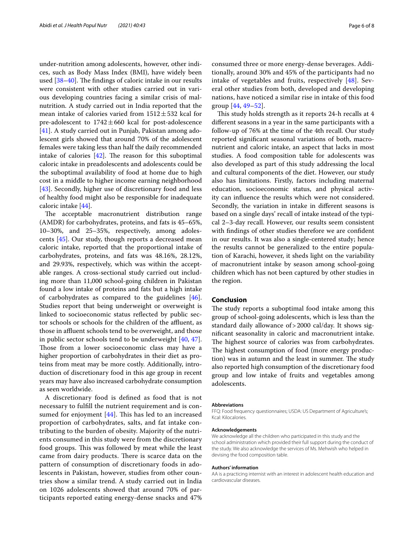under-nutrition among adolescents, however, other indices, such as Body Mass Index (BMI), have widely been used  $[38-40]$  $[38-40]$ . The findings of caloric intake in our results were consistent with other studies carried out in various developing countries facing a similar crisis of malnutrition. A study carried out in India reported that the mean intake of calories varied from  $1512 \pm 532$  kcal for pre-adolescent to  $1742 \pm 660$  kcal for post-adolescence [[41\]](#page-8-4). A study carried out in Punjab, Pakistan among adolescent girls showed that around 70% of the adolescent females were taking less than half the daily recommended intake of calories  $[42]$  $[42]$ . The reason for this suboptimal caloric intake in preadolescents and adolescents could be the suboptimal availability of food at home due to high cost in a middle to higher income earning neighborhood [[43\]](#page-8-6). Secondly, higher use of discretionary food and less of healthy food might also be responsible for inadequate caloric intake [\[44\]](#page-8-7).

The acceptable macronutrient distribution range (AMDR) for carbohydrates, proteins, and fats is 45–65%, 10–30%, and 25–35%, respectively, among adolescents [[45](#page-8-8)]. Our study, though reports a decreased mean caloric intake, reported that the proportional intake of carbohydrates, proteins, and fats was 48.16%, 28.12%, and 29.93%, respectively, which was within the acceptable ranges. A cross-sectional study carried out including more than 11,000 school-going children in Pakistan found a low intake of proteins and fats but a high intake of carbohydrates as compared to the guidelines [\[46](#page-8-9)]. Studies report that being underweight or overweight is linked to socioeconomic status refected by public sector schools or schools for the children of the afuent, as those in affluent schools tend to be overweight, and those in public sector schools tend to be underweight [\[40](#page-8-3), [47](#page-8-10)]. Those from a lower socioeconomic class may have a higher proportion of carbohydrates in their diet as proteins from meat may be more costly. Additionally, introduction of discretionary food in this age group in recent years may have also increased carbohydrate consumption as seen worldwide.

A discretionary food is defned as food that is not necessary to fulfll the nutrient requirement and is consumed for enjoyment  $[44]$  $[44]$ . This has led to an increased proportion of carbohydrates, salts, and fat intake contributing to the burden of obesity. Majority of the nutrients consumed in this study were from the discretionary food groups. This was followed by meat while the least came from dairy products. There is scarce data on the pattern of consumption of discretionary foods in adolescents in Pakistan, however, studies from other countries show a similar trend. A study carried out in India on 1026 adolescents showed that around 70% of participants reported eating energy-dense snacks and 47% consumed three or more energy-dense beverages. Additionally, around 30% and 45% of the participants had no intake of vegetables and fruits, respectively [\[48](#page-8-11)]. Several other studies from both, developed and developing nations, have noticed a similar rise in intake of this food group [\[44](#page-8-7), [49–](#page-8-12)[52](#page-8-13)].

This study holds strength as it reports 24-h recalls at 4 diferent seasons in a year in the same participants with a follow-up of 76% at the time of the 4th recall. Our study reported signifcant seasonal variations of both, macronutrient and caloric intake, an aspect that lacks in most studies. A food composition table for adolescents was also developed as part of this study addressing the local and cultural components of the diet. However, our study also has limitations. Firstly, factors including maternal education, socioeconomic status, and physical activity can infuence the results which were not considered. Secondly, the variation in intake in diferent seasons is based on a single days' recall of intake instead of the typical 2–3-day recall. However, our results seem consistent with fndings of other studies therefore we are confdent in our results. It was also a single-centered study; hence the results cannot be generalized to the entire population of Karachi, however, it sheds light on the variability of macronutrient intake by season among school-going children which has not been captured by other studies in the region.

#### **Conclusion**

The study reports a suboptimal food intake among this group of school-going adolescents, which is less than the standard daily allowance of>2000 cal/day. It shows signifcant seasonality in caloric and macronutrient intake. The highest source of calories was from carbohydrates. The highest consumption of food (more energy production) was in autumn and the least in summer. The study also reported high consumption of the discretionary food group and low intake of fruits and vegetables among adolescents.

#### **Abbreviations**

FFQ: Food frequency questionnaires; USDA: US Department of Agriculture's; Kcal: Kilocalories.

#### **Acknowledgements**

We acknowledge all the children who participated in this study and the school administration which provided their full support during the conduct of the study. We also acknowledge the services of Ms. Mehwish who helped in devising the food composition table.

#### **Authors' information**

AA is a practicing internist with an interest in adolescent health education and cardiovascular diseases.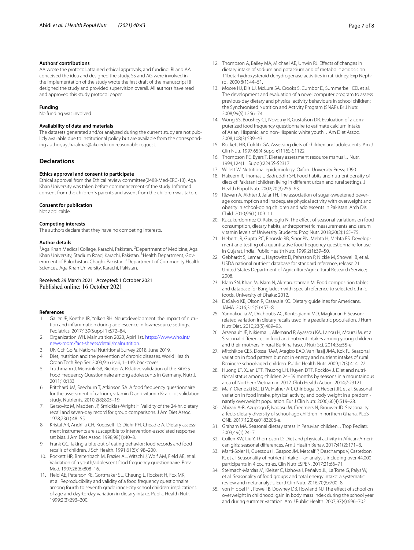#### **Authors' contributions**

AA wrote the protocol, attained ethical approvals, and funding. RI and AA conceived the idea and designed the study. SS and AG were involved in the implementation of the study wrote the frst draft of the manuscript RI designed the study and provided supervision overall. All authors have read and approved this study protocol paper.

#### **Funding**

No funding was involved.

#### **Availability of data and materials**

The datasets generated and/or analyzed during the current study are not publicly available due to institutional policy but are available from the corresponding author, aysha.almas@aku.edu on reasonable request.

#### **Declarations**

#### **Ethics approval and consent to participate**

Ethical approval from the Ethical review committee(2488-Med-ERC-13), Aga Khan University was taken before commencement of the study. Informed consent from the children`s parents and assent from the children was taken.

#### **Consent for publication**

Not applicable.

#### **Competing interests**

The authors declare that they have no competing interests.

#### **Author details**

<sup>1</sup> Aga Khan Medical College, Karachi, Pakistan. <sup>2</sup> Department of Medicine, Aga Khan University, Stadium Road, Karachi, Pakistan. <sup>3</sup> Health Department, Government of Baluchistan, Chaghi, Pakistan. <sup>4</sup>Department of Community Health Sciences, Aga Khan University, Karachi, Pakistan.

# Received: 29 March 2021 Accepted: 1 October 2021

#### **References**

- <span id="page-7-0"></span>1. Galler JR, Koethe JR, Yolken RH. Neurodevelopment: the impact of nutrition and infammation during adolescence in low-resource settings. Pediatrics. 2017;139(Suppl 1):S72–84.
- <span id="page-7-1"></span>2. Organization WH. Malnutrition 2020, Apirl 1st. [https://www.who.int/](https://www.who.int/news-room/fact-sheets/detail/malnutrition) [news-room/fact-sheets/detail/malnutrition](https://www.who.int/news-room/fact-sheets/detail/malnutrition).
- <span id="page-7-2"></span>3. UNICEF GoPa. National Nutritional Survey 2018. June 2019.
- <span id="page-7-3"></span>4. Diet, nutrition and the prevention of chronic diseases. World Health Organ Tech Rep Ser. 2003;916:i-viii, 1–149, backcover.
- <span id="page-7-4"></span>5. Truthmann J, Mensink GB, Richter A. Relative validation of the KiGGS Food Frequency Questionnaire among adolescents in Germany. Nutr J. 2011;10:133.
- <span id="page-7-9"></span>6. Pritchard JM, Seechurn T, Atkinson SA. A food frequency questionnaire for the assessment of calcium, vitamin D and vitamin K: a pilot validation study. Nutrients. 2010;2(8):805–19.
- 7. Gersovitz M, Madden JP, Smiciklas-Wright H. Validity of the 24-hr. dietary recall and seven-day record for group comparisons. J Am Diet Assoc. 1978;73(1):48–55.
- <span id="page-7-5"></span>8. Kristal AR, Andrilla CH, Koepsell TD, Diehr PH, Cheadle A. Dietary assessment instruments are susceptible to intervention-associated response set bias. J Am Diet Assoc. 1998;98(1):40–3.
- <span id="page-7-6"></span>9. Frank GC. Taking a bite out of eating behavior: food records and food recalls of children. J Sch Health. 1991;61(5):198–200.
- <span id="page-7-7"></span>10. Rockett HR, Breitenbach M, Frazier AL, Witschi J, Wolf AM, Field AE, et al. Validation of a youth/adolescent food frequency questionnaire. Prev Med. 1997;26(6):808–16.
- <span id="page-7-8"></span>11. Field AE, Peterson KE, Gortmaker SL, Cheung L, Rockett H, Fox MK, et al. Reproducibility and validity of a food frequency questionnaire among fourth to seventh grade inner-city school children: implications of age and day-to-day variation in dietary intake. Public Health Nutr. 1999;2(3):293–300.
- <span id="page-7-10"></span>12. Thompson A, Bailey MA, Michael AE, Unwin RJ. Efects of changes in dietary intake of sodium and potassium and of metabolic acidosis on 11beta-hydroxysteroid dehydrogenase activities in rat kidney. Exp Nephrol. 2000;8(1):44–51.
- <span id="page-7-11"></span>13. Moore HJ, Ells LJ, McLure SA, Crooks S, Cumbor D, Summerbell CD, et al. The development and evaluation of a novel computer program to assess previous-day dietary and physical activity behaviours in school children: the Synchronised Nutrition and Activity Program (SNAP). Br J Nutr. 2008;99(6):1266–74.
- <span id="page-7-12"></span>14. Wong SS, Boushey CJ, Novotny R, Gustafson DR. Evaluation of a computerized food frequency questionnaire to estimate calcium intake of Asian, Hispanic, and non-Hispanic white youth. J Am Diet Assoc. 2008;108(3):539–43.
- <span id="page-7-13"></span>15. Rockett HR, Colditz GA. Assessing diets of children and adolescents. Am J Clin Nutr. 1997;65(4 Suppl):1116S-S1122.
- 16. Thompson FE, Byers T. Dietary assessment resource manual. J Nutr. 1994;124(11 Suppl):2245S-S2317.
- <span id="page-7-14"></span>17. Willett W. Nutritional epidemiology. Oxford University Press; 1990.
- <span id="page-7-15"></span>18. Hakeem R, Thomas J, Badruddin SH. Food habits and nutrient density of diets of Pakistani children living in diferent urban and rural settings. J Health Popul Nutr. 2002;20(3):255–63.
- <span id="page-7-16"></span>19 Rizwan A, Akhter J, Jafar TH. The association of sugar-sweetened beverage consumption and inadequate physical activity with overweight and obesity in school-going children and adolescents in Pakistan. Arch Dis Child. 2010;96(1):109–11.
- <span id="page-7-17"></span>20. Kucukerdonmez O, Rakıcıoglu N. The effect of seasonal variations on food consumption, dietary habits, anthropometric measurements and serum vitamin levels of University Students. Prog Nutr. 2018;20(2):165–75.
- <span id="page-7-18"></span>21. Hebert JR, Gupta PC, Bhonsle RB, Sinor PN, Mehta H, Mehta FS. Development and testing of a quantitative food frequency questionnaire for use in Gujarat, India. Public Health Nutr. 1999;2(1):39–50.
- <span id="page-7-19"></span>22. Gebhardt S, Lemar L, Haytowitz D, Pehrsson P, Nickle M, Showell B, et al. USDA national nutrient database for standard reference, release 21. United States Department of AgricultureAgricultural Research Service; 2008.
- <span id="page-7-20"></span>23. Islam SN, Khan M, Islam N, Akhtaruzzaman M. Food composition tables and database for Bangladesh with special reference to selected ethnic foods. University of Dhaka; 2012.
- <span id="page-7-21"></span>24. DeSalvo KB, Olson R, Casavale KO. Dietary guidelines for Americans. JAMA. 2016;315(5):457–8.
- <span id="page-7-22"></span>25. Yannakoulia M, Drichoutis AC, Kontogianni MD, Magkanari F. Seasonrelated variation in dietary recalls used in a paediatric population. J Hum Nutr Diet. 2010;23(5):489–93.
- <span id="page-7-23"></span>26 Arsenault JE, Nikiema L, Allemand P, Ayassou KA, Lanou H, Moursi M, et al. Seasonal diferences in food and nutrient intakes among young children and their mothers in rural Burkina Faso. J Nutr Sci. 2014;3:e55-e.
- <span id="page-7-24"></span>27. Mitchikpe CES, Dossa RAM, Ategbo EAD, Van Raaij JMA, Kok FJ. Seasonal variation in food pattern but not in energy and nutrient intakes of rural Beninese school-aged children. Public Health Nutr. 2009;12(3):414–22.
- <span id="page-7-25"></span>28. Huong LT, Xuan LTT, Phuong LH, Huyen DTT, Rocklöv J. Diet and nutritional status among children 24–59 months by seasons in a mountainous area of Northern Vietnam in 2012. Glob Health Action. 2014;7:23121.
- <span id="page-7-26"></span>29. Ma Y, Olendzki BC, Li W, Hafner AR, Chiriboga D, Hebert JR, et al. Seasonal variation in food intake, physical activity, and body weight in a predominantly overweight population. Eur J Clin Nutr. 2006;60(4):519–28.
- 30 Abizari A-R, Azupogo F, Nagasu M, Creemers N, Brouwer ID. Seasonality afects dietary diversity of school-age children in northern Ghana. PLoS ONE. 2017;12(8):e0183206-e.
- 31. Graham MA. Seasonal dietary stress in Peruvian children. J Trop Pediatr. 2003;49(1):24–7.
- 32. Cullen KW, Liu Y, Thompson D. Diet and physical activity in African-American girls: seasonal diferences. Am J Health Behav. 2017;41(2):171–8.
- 33. Marti-Soler H, Guessous I, Gaspoz JM, Metcalf P, Deschamps V, Castetbon K, et al. Seasonality of nutrient intake—an analysis including over 44,000 participants in 4 countries. Clin Nutr ESPEN. 2017;21:66–71.
- <span id="page-7-27"></span>34. Stelmach-Mardas M, Kleiser C, Uzhova I, Peñalvo JL, La Torre G, Palys W, et al. Seasonality of food groups and total energy intake: a systematic review and meta-analysis. Eur J Clin Nutr. 2016;70(6):700–8.
- <span id="page-7-28"></span>35. von Hippel PT, Powell B, Downey DB, Rowland NJ. The efect of school on overweight in childhood: gain in body mass index during the school year and during summer vacation. Am J Public Health. 2007;97(4):696–702.